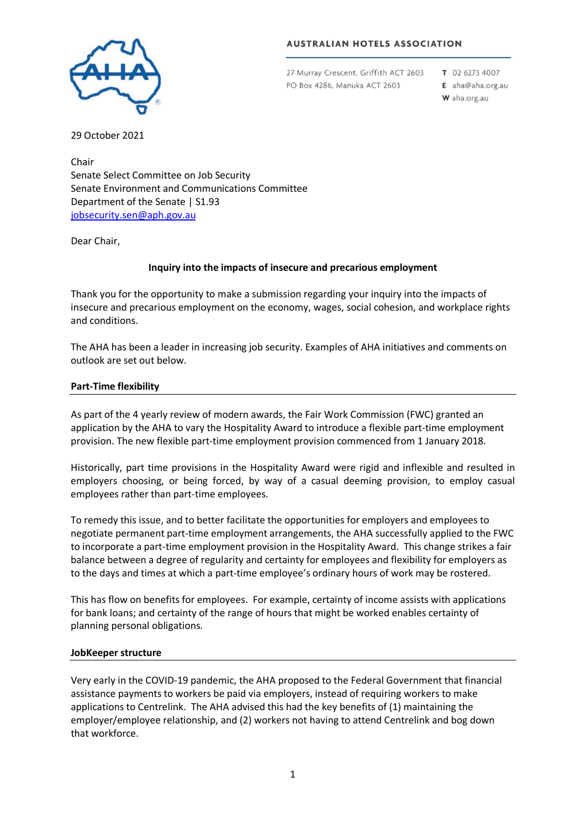### **AUSTRALIAN HOTELS ASSOCIATION**



27 Murray Crescent, Griffith ACT 2603 PO Box 4286, Manuka ACT 2603

T 02 6273 4007 E aha@aha.org.au

W aha.org.au

29 October 2021

Chair Senate Select Committee on Job Security Senate Environment and Communications Committee Department of the Senate | S1.93 [jobsecurity.sen@aph.gov.au](mailto:jobsecurity.sen@aph.gov.au)

Dear Chair,

# **Inquiry into the impacts of insecure and precarious employment**

Thank you for the opportunity to make a submission regarding your inquiry into the impacts of insecure and precarious employment on the economy, wages, social cohesion, and workplace rights and conditions.

The AHA has been a leader in increasing job security. Examples of AHA initiatives and comments on outlook are set out below.

#### **Part-Time flexibility**

As part of the 4 yearly review of modern awards, the Fair Work Commission (FWC) granted an application by the AHA to vary the Hospitality Award to introduce a flexible part-time employment provision. The new flexible part-time employment provision commenced from 1 January 2018.

Historically, part time provisions in the Hospitality Award were rigid and inflexible and resulted in employers choosing, or being forced, by way of a casual deeming provision, to employ casual employees rather than part-time employees.

To remedy this issue, and to better facilitate the opportunities for employers and employees to negotiate permanent part-time employment arrangements, the AHA successfully applied to the FWC to incorporate a part-time employment provision in the Hospitality Award. This change strikes a fair balance between a degree of regularity and certainty for employees and flexibility for employers as to the days and times at which a part-time employee's ordinary hours of work may be rostered.

This has flow on benefits for employees. For example, certainty of income assists with applications for bank loans; and certainty of the range of hours that might be worked enables certainty of planning personal obligations.

### **JobKeeper structure**

Very early in the COVID-19 pandemic, the AHA proposed to the Federal Government that financial assistance payments to workers be paid via employers, instead of requiring workers to make applications to Centrelink. The AHA advised this had the key benefits of (1) maintaining the employer/employee relationship, and (2) workers not having to attend Centrelink and bog down that workforce.